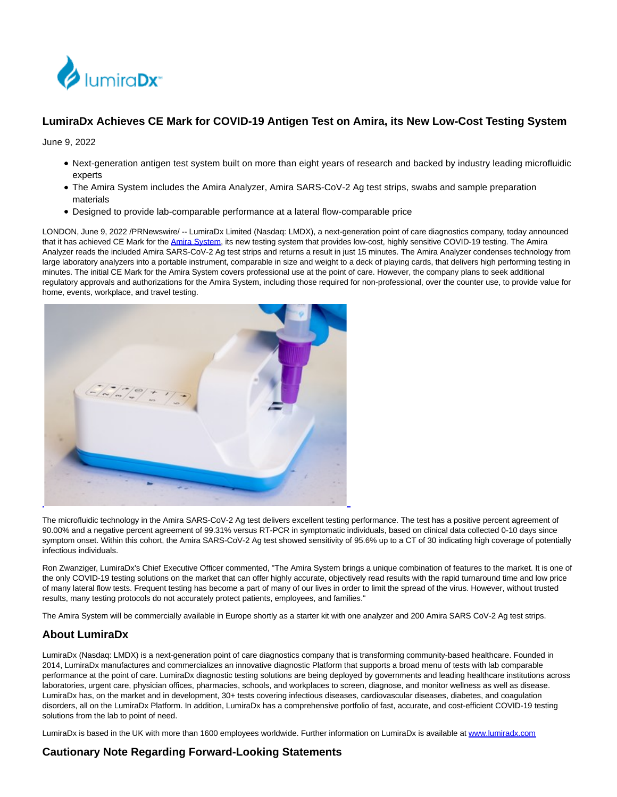

## **LumiraDx Achieves CE Mark for COVID-19 Antigen Test on Amira, its New Low-Cost Testing System**

June 9, 2022

- Next-generation antigen test system built on more than eight years of research and backed by industry leading microfluidic experts
- The Amira System includes the Amira Analyzer, Amira SARS-CoV-2 Ag test strips, swabs and sample preparation materials
- Designed to provide lab-comparable performance at a lateral flow-comparable price

LONDON, June 9, 2022 /PRNewswire/ -- LumiraDx Limited (Nasdaq: LMDX), a next-generation point of care diagnostics company, today announced that it has achieved CE Mark for the [Amira System,](https://c212.net/c/link/?t=0&l=en&o=3562401-1&h=923170940&u=https%3A%2F%2Flumiradx.com%2Fuk-en%2Ftest-menu%2Famira&a=Amira+System) its new testing system that provides low-cost, highly sensitive COVID-19 testing. The Amira Analyzer reads the included Amira SARS-CoV-2 Ag test strips and returns a result in just 15 minutes. The Amira Analyzer condenses technology from large laboratory analyzers into a portable instrument, comparable in size and weight to a deck of playing cards, that delivers high performing testing in minutes. The initial CE Mark for the Amira System covers professional use at the point of care. However, the company plans to seek additional regulatory approvals and authorizations for the Amira System, including those required for non-professional, over the counter use, to provide value for home, events, workplace, and travel testing.



The microfluidic technology in the Amira SARS-CoV-2 Ag test delivers excellent testing performance. The test has a positive percent agreement of 90.00% and a negative percent agreement of 99.31% versus RT-PCR in symptomatic individuals, based on clinical data collected 0-10 days since symptom onset. Within this cohort, the Amira SARS-CoV-2 Ag test showed sensitivity of 95.6% up to a CT of 30 indicating high coverage of potentially infectious individuals.

Ron Zwanziger, LumiraDx's Chief Executive Officer commented, "The Amira System brings a unique combination of features to the market. It is one of the only COVID-19 testing solutions on the market that can offer highly accurate, objectively read results with the rapid turnaround time and low price of many lateral flow tests. Frequent testing has become a part of many of our lives in order to limit the spread of the virus. However, without trusted results, many testing protocols do not accurately protect patients, employees, and families."

The Amira System will be commercially available in Europe shortly as a starter kit with one analyzer and 200 Amira SARS CoV-2 Ag test strips.

## **About LumiraDx**

LumiraDx (Nasdaq: LMDX) is a next-generation point of care diagnostics company that is transforming community-based healthcare. Founded in 2014, LumiraDx manufactures and commercializes an innovative diagnostic Platform that supports a broad menu of tests with lab comparable performance at the point of care. LumiraDx diagnostic testing solutions are being deployed by governments and leading healthcare institutions across laboratories, urgent care, physician offices, pharmacies, schools, and workplaces to screen, diagnose, and monitor wellness as well as disease. LumiraDx has, on the market and in development, 30+ tests covering infectious diseases, cardiovascular diseases, diabetes, and coagulation disorders, all on the LumiraDx Platform. In addition, LumiraDx has a comprehensive portfolio of fast, accurate, and cost-efficient COVID-19 testing solutions from the lab to point of need.

LumiraDx is based in the UK with more than 1600 employees worldwide. Further information on LumiraDx is available a[t www.lumiradx.com](https://c212.net/c/link/?t=0&l=en&o=3562401-1&h=792731408&u=http%3A%2F%2Fwww.lumiradx.com%2F&a=www.lumiradx.com)

## **Cautionary Note Regarding Forward-Looking Statements**